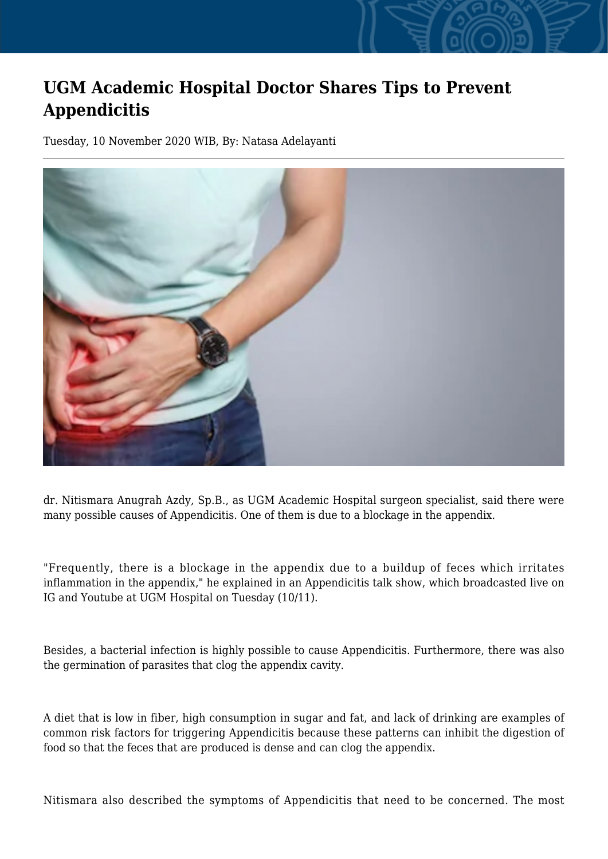## **UGM Academic Hospital Doctor Shares Tips to Prevent Appendicitis**

Tuesday, 10 November 2020 WIB, By: Natasa Adelayanti



dr. Nitismara Anugrah Azdy, Sp.B., as UGM Academic Hospital surgeon specialist, said there were many possible causes of Appendicitis. One of them is due to a blockage in the appendix.

"Frequently, there is a blockage in the appendix due to a buildup of feces which irritates inflammation in the appendix," he explained in an Appendicitis talk show, which broadcasted live on IG and Youtube at UGM Hospital on Tuesday (10/11).

Besides, a bacterial infection is highly possible to cause Appendicitis. Furthermore, there was also the germination of parasites that clog the appendix cavity.

A diet that is low in fiber, high consumption in sugar and fat, and lack of drinking are examples of common risk factors for triggering Appendicitis because these patterns can inhibit the digestion of food so that the feces that are produced is dense and can clog the appendix.

Nitismara also described the symptoms of Appendicitis that need to be concerned. The most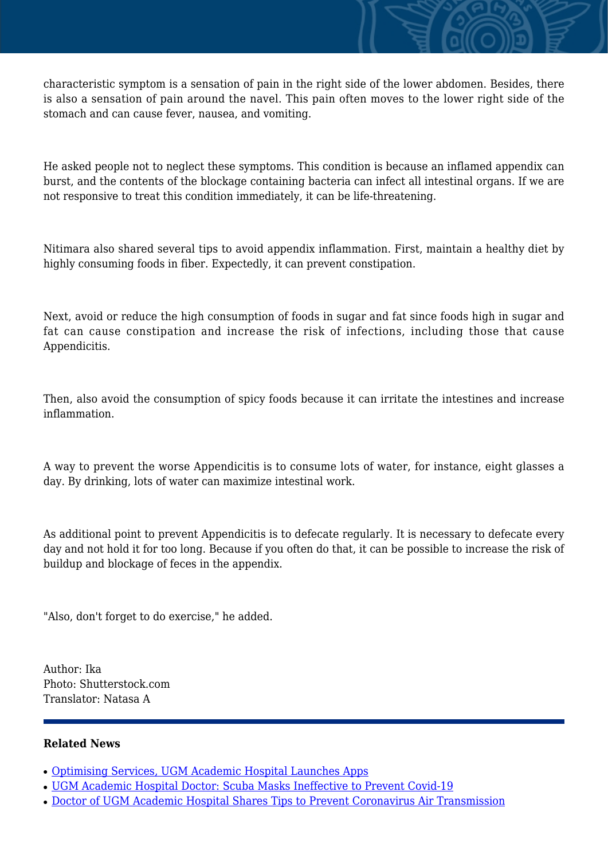characteristic symptom is a sensation of pain in the right side of the lower abdomen. Besides, there is also a sensation of pain around the navel. This pain often moves to the lower right side of the stomach and can cause fever, nausea, and vomiting.

He asked people not to neglect these symptoms. This condition is because an inflamed appendix can burst, and the contents of the blockage containing bacteria can infect all intestinal organs. If we are not responsive to treat this condition immediately, it can be life-threatening.

Nitimara also shared several tips to avoid appendix inflammation. First, maintain a healthy diet by highly consuming foods in fiber. Expectedly, it can prevent constipation.

Next, avoid or reduce the high consumption of foods in sugar and fat since foods high in sugar and fat can cause constipation and increase the risk of infections, including those that cause Appendicitis.

Then, also avoid the consumption of spicy foods because it can irritate the intestines and increase inflammation.

A way to prevent the worse Appendicitis is to consume lots of water, for instance, eight glasses a day. By drinking, lots of water can maximize intestinal work.

As additional point to prevent Appendicitis is to defecate regularly. It is necessary to defecate every day and not hold it for too long. Because if you often do that, it can be possible to increase the risk of buildup and blockage of feces in the appendix.

"Also, don't forget to do exercise," he added.

Author: Ika Photo: Shutterstock.com Translator: Natasa A

## **Related News**

- [Optimising Services, UGM Academic Hospital Launches Apps](http://ugm.ac.id/www.ugm.ac.id//en/news/19803-doctor-of-ugm-academic-hospital-shares-tips-to-prevent-coronavirus-air-transmission)
- [UGM Academic Hospital Doctor: Scuba Masks Ineffective to Prevent Covid-19](http://ugm.ac.id/www.ugm.ac.id//en/news/12629-minister-asks-academic-hospitals-to-prioritise-academic-services)
- [Doctor of UGM Academic Hospital Shares Tips to Prevent Coronavirus Air Transmission](http://ugm.ac.id/www.ugm.ac.id//en/news/12952-ugm-academic-hospital-initiate-mental-health-village)